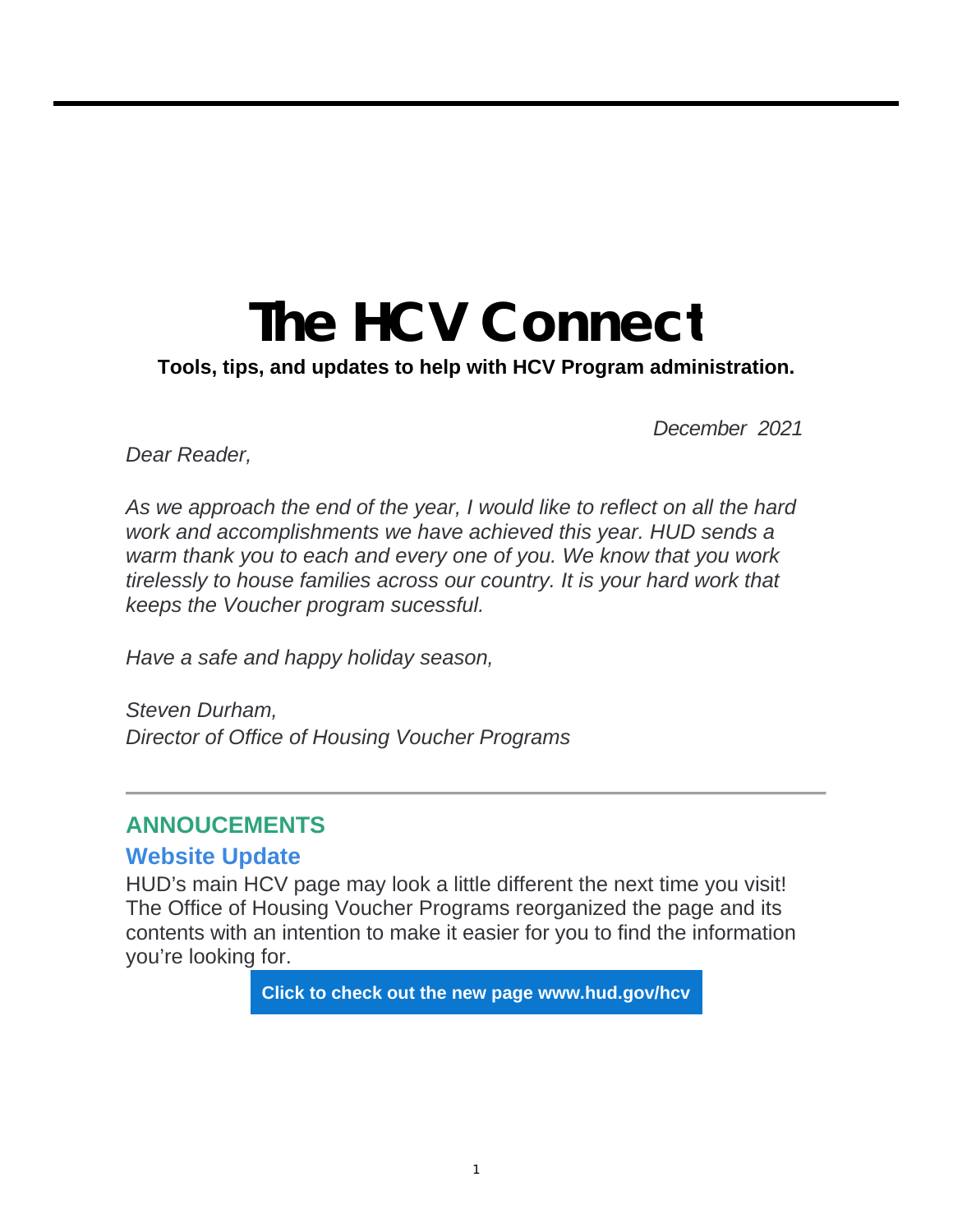# **The HCV Connect**

**Tools, tips, and updates to help with HCV Program administration.**

*December 2021*

*Dear Reader,*

*As we approach the end of the year, I would like to reflect on all the hard work and accomplishments we have achieved this year. HUD sends a warm thank you to each and every one of you. We know that you work tirelessly to house families across our country. It is your hard work that keeps the Voucher program sucessful.*

*Have a safe and happy holiday season,*

*Steven Durham, Director of Office of Housing Voucher Programs*

#### **ANNOUCEMENTS**

#### **Website Update**

HUD's main HCV page may look a little different the next time you visit! The Office of Housing Voucher Programs reorganized the page and its contents with an intention to make it easier for you to find the information you're looking for.

**Click to check out the new page www.hud.gov/hcv**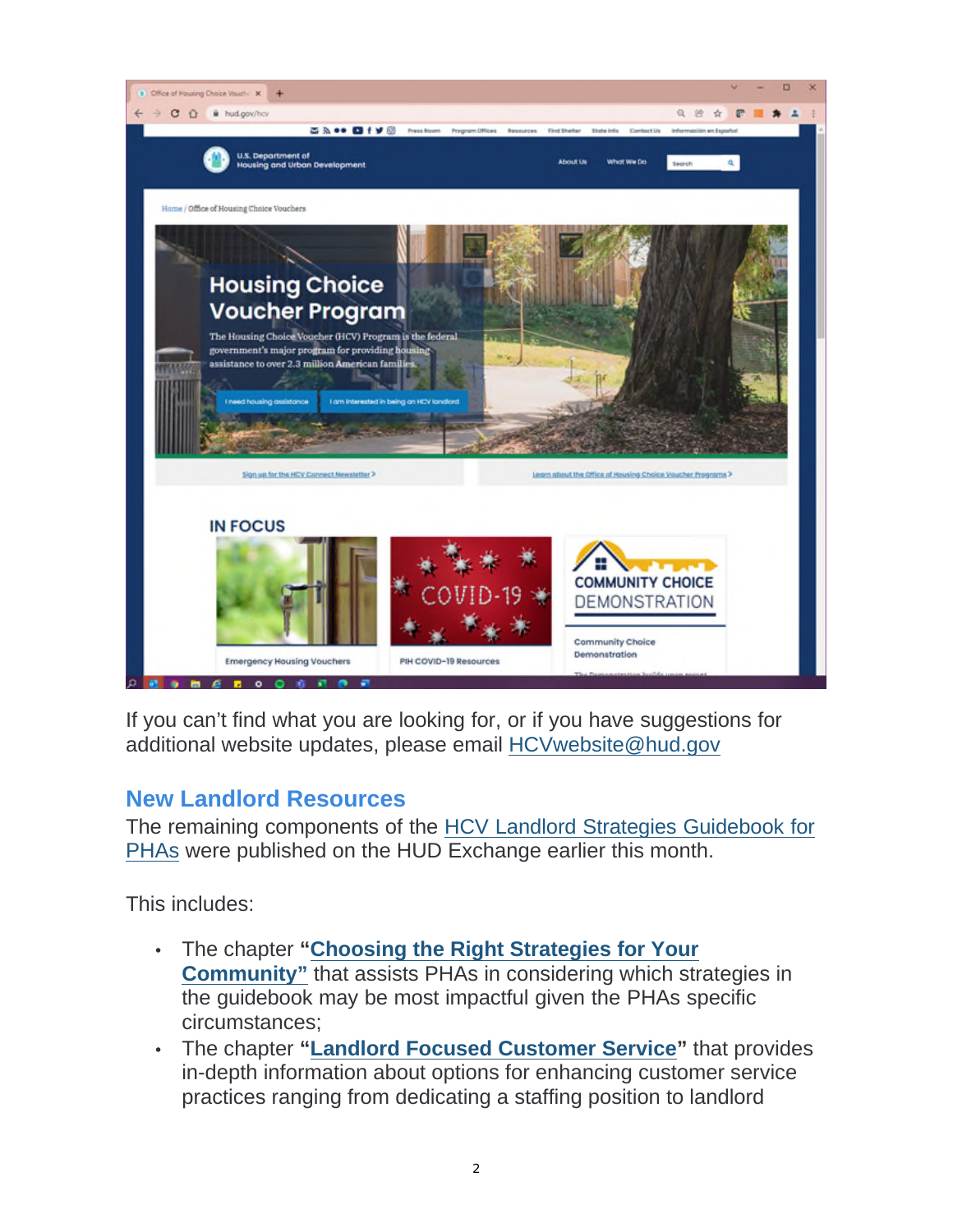

If you can't find what you are looking for, or if you have suggestions for additional website updates, please email HCVwebsite@hud.gov

#### **New Landlord Resources**

The remaining components of the HCV Landlord Strategies Guidebook for PHAs were published on the HUD Exchange earlier this month.

This includes:

- The chapter **"Choosing the Right Strategies for Your Community"** that assists PHAs in considering which strategies in the guidebook may be most impactful given the PHAs specific circumstances;
- The chapter **"Landlord Focused Customer Service"** that provides in-depth information about options for enhancing customer service practices ranging from dedicating a staffing position to landlord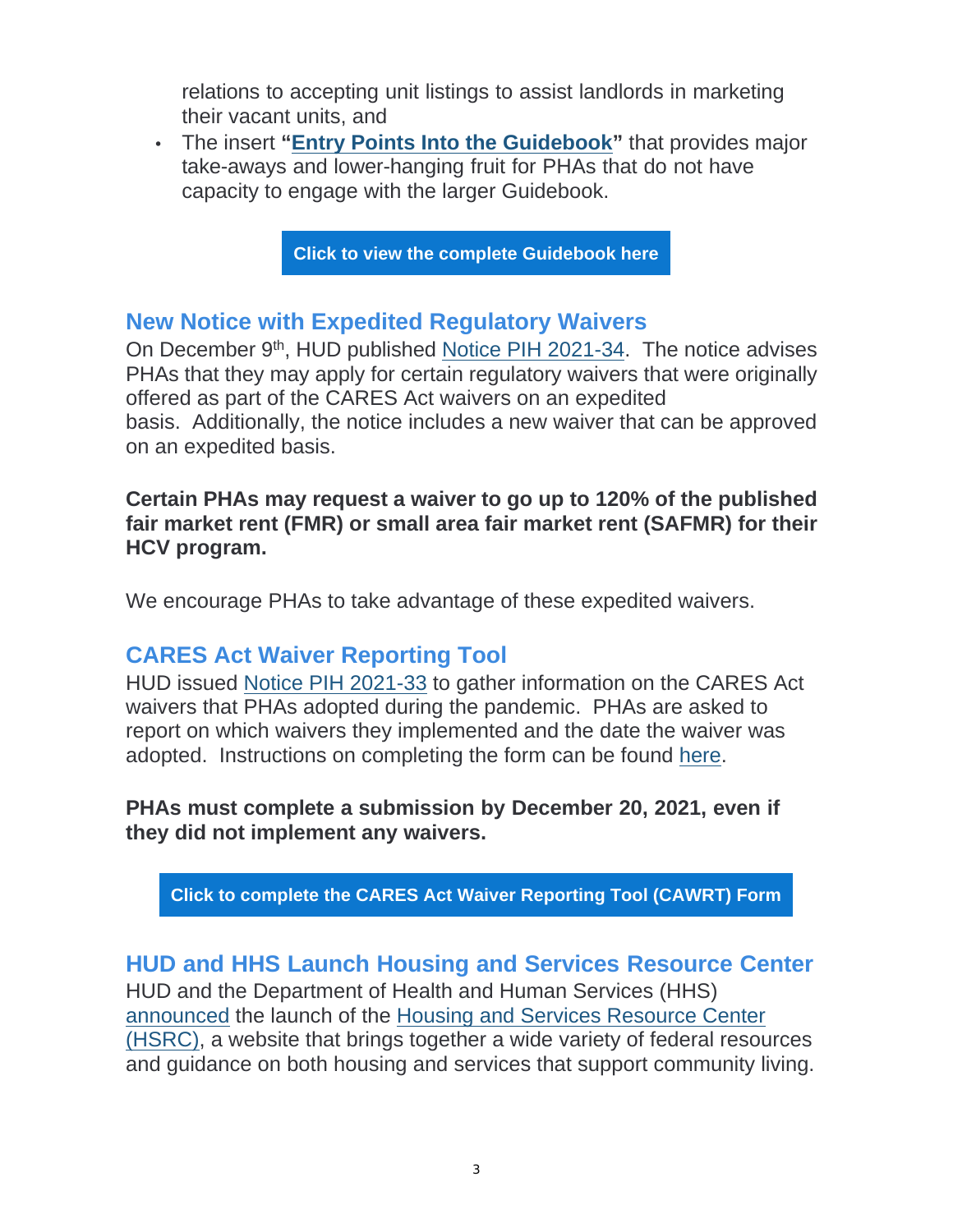relations to accepting unit listings to assist landlords in marketing their vacant units, and

• The insert **"Entry Points Into the Guidebook"** that provides major take-aways and lower-hanging fruit for PHAs that do not have capacity to engage with the larger Guidebook.

**Click to view the complete Guidebook here**

#### **New Notice with Expedited Regulatory Waivers**

On December 9<sup>th</sup>, HUD published Notice PIH 2021-34. The notice advises PHAs that they may apply for certain regulatory waivers that were originally offered as part of the CARES Act waivers on an expedited basis. Additionally, the notice includes a new waiver that can be approved on an expedited basis.

**Certain PHAs may request a waiver to go up to 120% of the published fair market rent (FMR) or small area fair market rent (SAFMR) for their HCV program.**

We encourage PHAs to take advantage of these expedited waivers.

#### **CARES Act Waiver Reporting Tool**

HUD issued Notice PIH 2021-33 to gather information on the CARES Act waivers that PHAs adopted during the pandemic. PHAs are asked to report on which waivers they implemented and the date the waiver was adopted. Instructions on completing the form can be found here.

**PHAs must complete a submission by December 20, 2021, even if they did not implement any waivers.**

**Click to complete the CARES Act Waiver Reporting Tool (CAWRT) Form**

#### **HUD and HHS Launch Housing and Services Resource Center**

HUD and the Department of Health and Human Services (HHS) announced the launch of the Housing and Services Resource Center (HSRC), a website that brings together a wide variety of federal resources and guidance on both housing and services that support community living.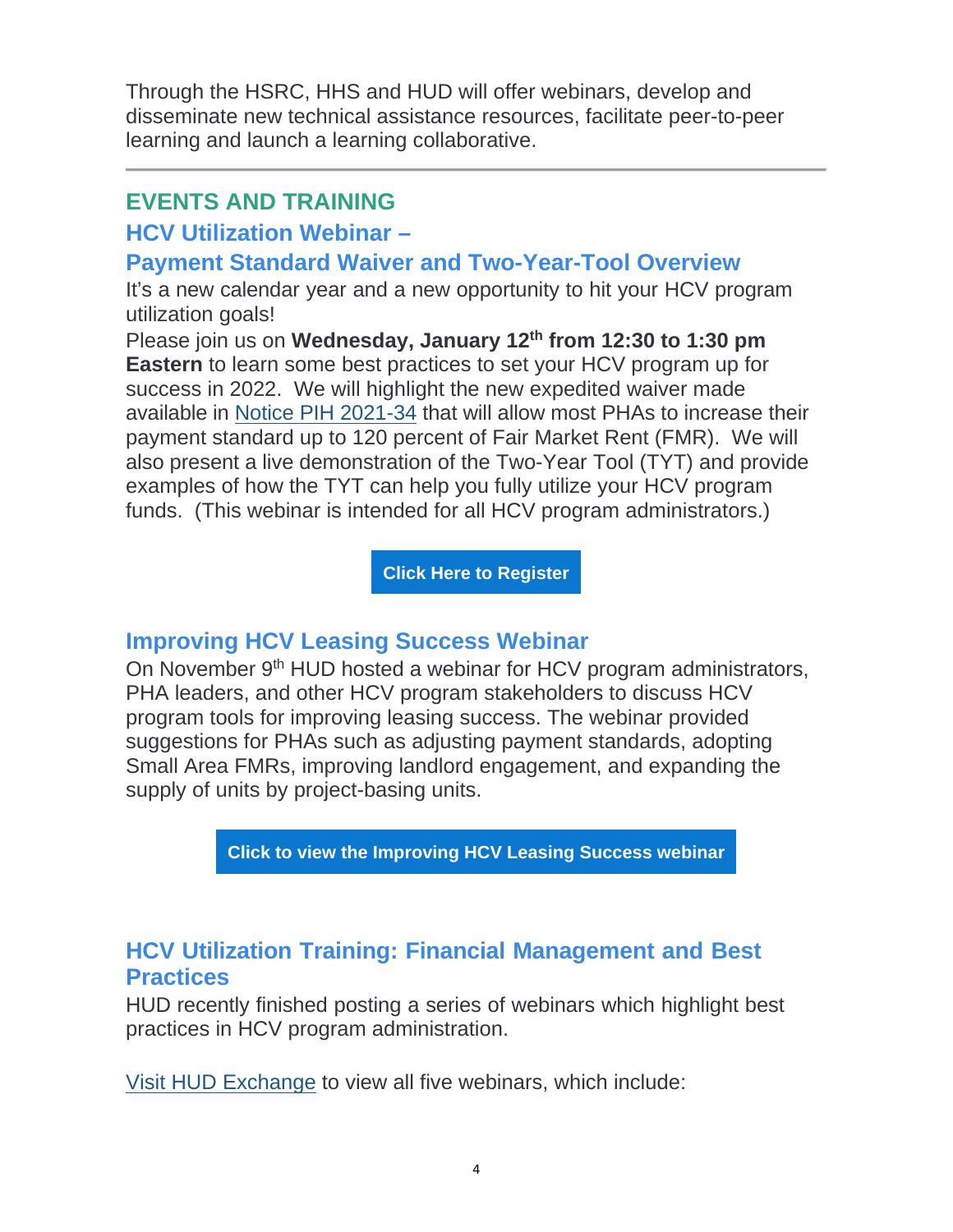Through the HSRC, HHS and HUD will offer webinars, develop and disseminate new technical assistance resources, facilitate peer-to-peer learning and launch a learning collaborative.

#### **EVENTS AND TRAINING**

#### **HCV Utilization Webinar –**

## **Payment Standard Waiver and Two-Year-Tool Overview**

It's a new calendar year and a new opportunity to hit your HCV program utilization goals!

Please join us on **Wednesday, January 12th from 12:30 to 1:30 pm Eastern** to learn some best practices to set your HCV program up for success in 2022. We will highlight the new expedited waiver made available in Notice PIH 2021-34 that will allow most PHAs to increase their payment standard up to 120 percent of Fair Market Rent (FMR). We will also present a live demonstration of the Two-Year Tool (TYT) and provide examples of how the TYT can help you fully utilize your HCV program funds. (This webinar is intended for all HCV program administrators.)

**Click Here to Register**

#### **Improving HCV Leasing Success Webinar**

On November 9<sup>th</sup> HUD hosted a webinar for HCV program administrators, PHA leaders, and other HCV program stakeholders to discuss HCV program tools for improving leasing success. The webinar provided suggestions for PHAs such as adjusting payment standards, adopting Small Area FMRs, improving landlord engagement, and expanding the supply of units by project-basing units.

**Click to view the Improving HCV Leasing Success webinar**

# **HCV Utilization Training: Financial Management and Best Practices**

HUD recently finished posting a series of webinars which highlight best practices in HCV program administration.

Visit HUD Exchange to view all five webinars, which include: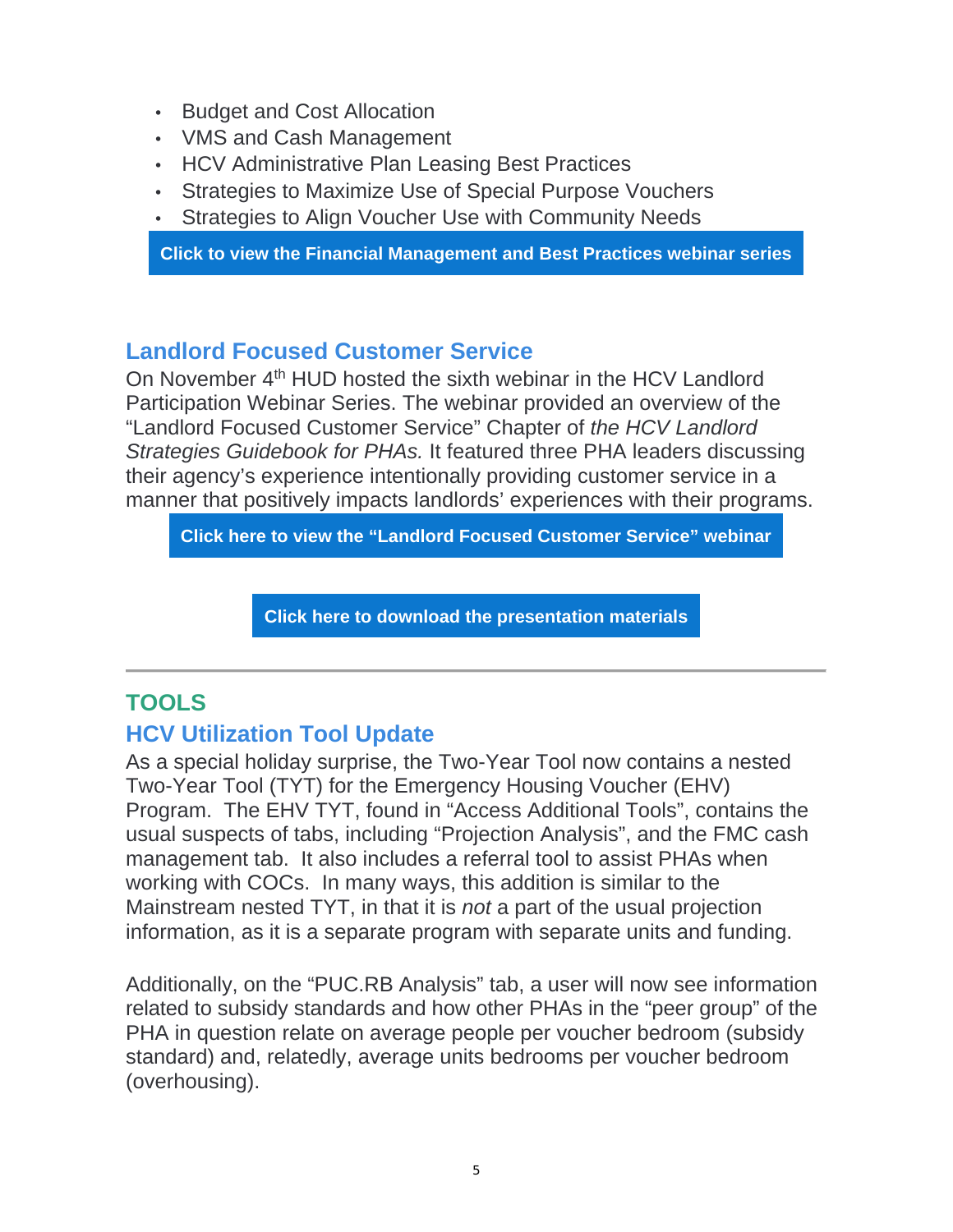- Budget and Cost Allocation
- VMS and Cash Management
- HCV Administrative Plan Leasing Best Practices
- Strategies to Maximize Use of Special Purpose Vouchers
- Strategies to Align Voucher Use with Community Needs

**Click to view the Financial Management and Best Practices webinar series**

# **Landlord Focused Customer Service**

On November 4<sup>th</sup> HUD hosted the sixth webinar in the HCV Landlord Participation Webinar Series. The webinar provided an overview of the "Landlord Focused Customer Service" Chapter of *the HCV Landlord Strategies Guidebook for PHAs.* It featured three PHA leaders discussing their agency's experience intentionally providing customer service in a manner that positively impacts landlords' experiences with their programs.

**Click here to view the "Landlord Focused Customer Service" webinar**

**Click here to download the presentation materials**

# **TOOLS**

# **HCV Utilization Tool Update**

As a special holiday surprise, the Two-Year Tool now contains a nested Two-Year Tool (TYT) for the Emergency Housing Voucher (EHV) Program. The EHV TYT, found in "Access Additional Tools", contains the usual suspects of tabs, including "Projection Analysis", and the FMC cash management tab. It also includes a referral tool to assist PHAs when working with COCs. In many ways, this addition is similar to the Mainstream nested TYT, in that it is *not* a part of the usual projection information, as it is a separate program with separate units and funding.

Additionally, on the "PUC.RB Analysis" tab, a user will now see information related to subsidy standards and how other PHAs in the "peer group" of the PHA in question relate on average people per voucher bedroom (subsidy standard) and, relatedly, average units bedrooms per voucher bedroom (overhousing).